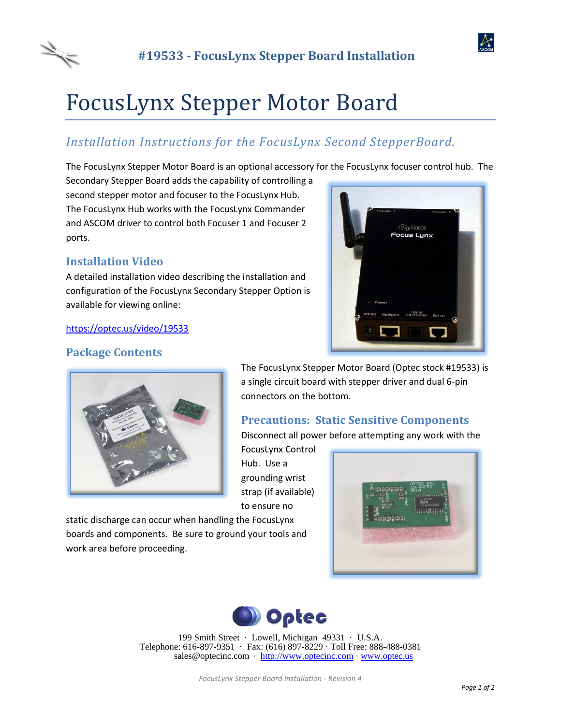



# FocusLynx Stepper Motor Board

# *Installation Instructions for the FocusLynx Second StepperBoard.*

The FocusLynx Stepper Motor Board is an optional accessory for the FocusLynx focuser control hub. The

Secondary Stepper Board adds the capability of controlling a second stepper motor and focuser to the FocusLynx Hub. The FocusLynx Hub works with the FocusLynx Commander and ASCOM driver to control both Focuser 1 and Focuser 2 ports.

## **Installation Video**

A detailed installation video describing the installation and configuration of the FocusLynx Secondary Stepper Option is available for viewing online:



## **Package Contents**

<https://optec.us/video/19533>



The FocusLynx Stepper Motor Board (Optec stock #19533) is a single circuit board with stepper driver and dual 6-pin connectors on the bottom.

## **Precautions: Static Sensitive Components**

Disconnect all power before attempting any work with the

FocusLynx Control Hub. Use a grounding wrist strap (if available) to ensure no

static discharge can occur when handling the FocusLynx boards and components. Be sure to ground your tools and work area before proceeding.





199 Smith Street · Lowell, Michigan 49331 · U.S.A. Telephone: 616-897-9351 · Fax: (616) 897-8229 · Toll Free: 888-488-0381 sales@optecinc.com · [http://www.optecinc.com](http://www.optecinc.com/) · [www.optec.us](file://///Epsilon/data/Office%20Files/PRICES/Optec%20Prices%20and%20Terms/www.optec.us)